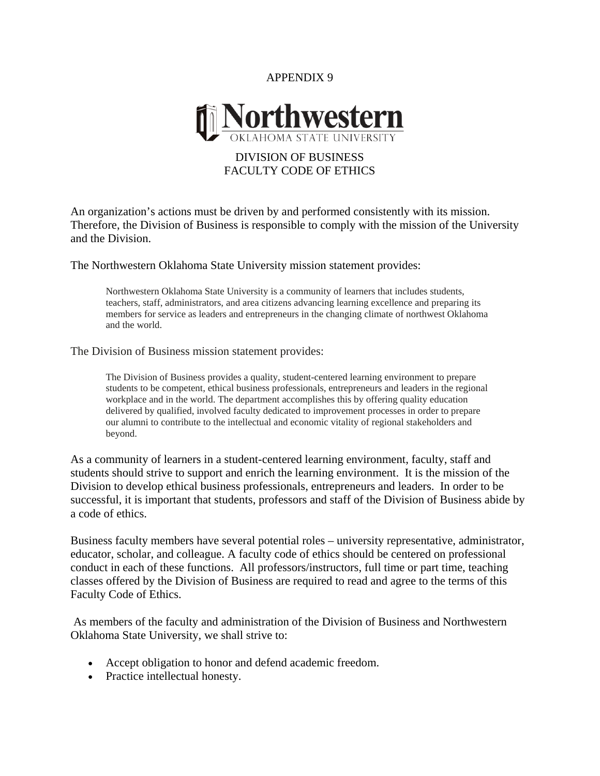## APPENDIX 9



## DIVISION OF BUSINESS FACULTY CODE OF ETHICS

An organization's actions must be driven by and performed consistently with its mission. Therefore, the Division of Business is responsible to comply with the mission of the University and the Division.

The Northwestern Oklahoma State University mission statement provides:

Northwestern Oklahoma State University is a community of learners that includes students, teachers, staff, administrators, and area citizens advancing learning excellence and preparing its members for service as leaders and entrepreneurs in the changing climate of northwest Oklahoma and the world.

The Division of Business mission statement provides:

The Division of Business provides a quality, student-centered learning environment to prepare students to be competent, ethical business professionals, entrepreneurs and leaders in the regional workplace and in the world. The department accomplishes this by offering quality education delivered by qualified, involved faculty dedicated to improvement processes in order to prepare our alumni to contribute to the intellectual and economic vitality of regional stakeholders and beyond.

As a community of learners in a student-centered learning environment, faculty, staff and students should strive to support and enrich the learning environment. It is the mission of the Division to develop ethical business professionals, entrepreneurs and leaders. In order to be successful, it is important that students, professors and staff of the Division of Business abide by a code of ethics.

Business faculty members have several potential roles – university representative, administrator, educator, scholar, and colleague. A faculty code of ethics should be centered on professional conduct in each of these functions. All professors/instructors, full time or part time, teaching classes offered by the Division of Business are required to read and agree to the terms of this Faculty Code of Ethics.

 As members of the faculty and administration of the Division of Business and Northwestern Oklahoma State University, we shall strive to:

- Accept obligation to honor and defend academic freedom.
- Practice intellectual honesty.